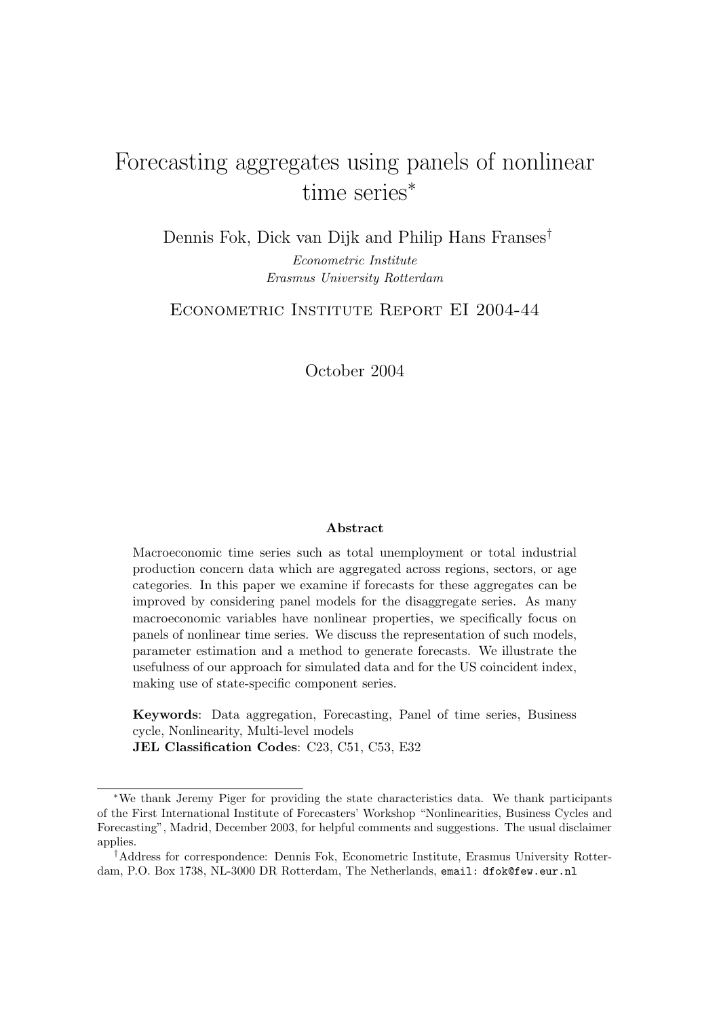# Forecasting aggregates using panels of nonlinear time series<sup>∗</sup>

Dennis Fok, Dick van Dijk and Philip Hans Franses† Econometric Institute Erasmus University Rotterdam

ECONOMETRIC INSTITUTE REPORT EI 2004-44

October 2004

#### Abstract

Macroeconomic time series such as total unemployment or total industrial production concern data which are aggregated across regions, sectors, or age categories. In this paper we examine if forecasts for these aggregates can be improved by considering panel models for the disaggregate series. As many macroeconomic variables have nonlinear properties, we specifically focus on panels of nonlinear time series. We discuss the representation of such models, parameter estimation and a method to generate forecasts. We illustrate the usefulness of our approach for simulated data and for the US coincident index, making use of state-specific component series.

Keywords: Data aggregation, Forecasting, Panel of time series, Business cycle, Nonlinearity, Multi-level models JEL Classification Codes: C23, C51, C53, E32

<sup>∗</sup>We thank Jeremy Piger for providing the state characteristics data. We thank participants of the First International Institute of Forecasters' Workshop "Nonlinearities, Business Cycles and Forecasting", Madrid, December 2003, for helpful comments and suggestions. The usual disclaimer applies.

<sup>†</sup>Address for correspondence: Dennis Fok, Econometric Institute, Erasmus University Rotterdam, P.O. Box 1738, NL-3000 DR Rotterdam, The Netherlands, email: dfok@few.eur.nl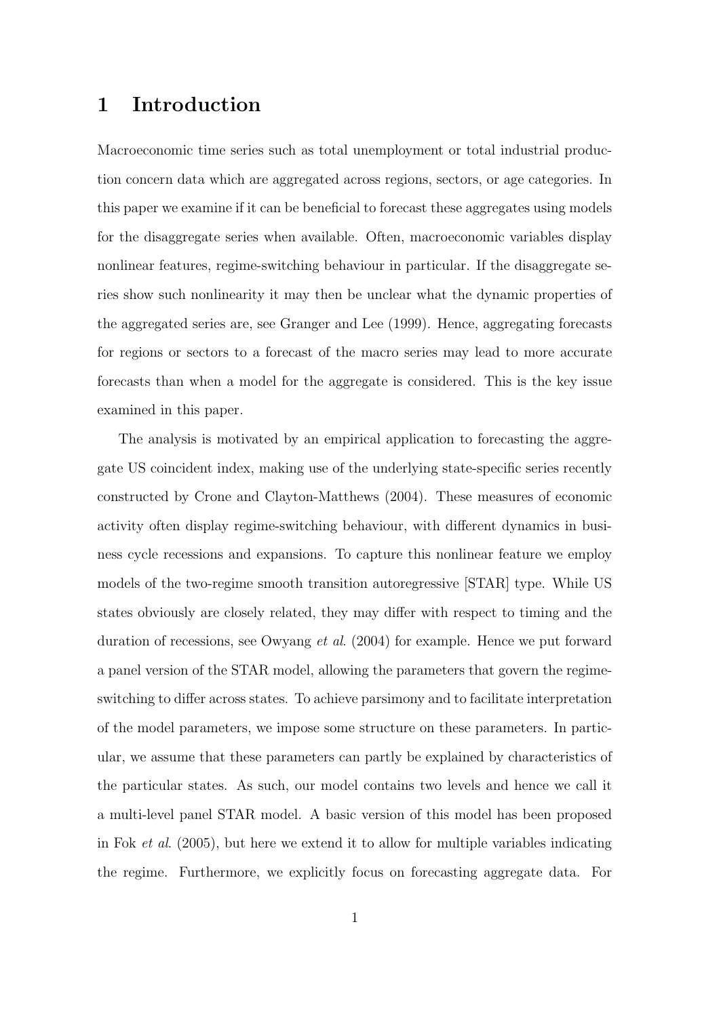### 1 Introduction

Macroeconomic time series such as total unemployment or total industrial production concern data which are aggregated across regions, sectors, or age categories. In this paper we examine if it can be beneficial to forecast these aggregates using models for the disaggregate series when available. Often, macroeconomic variables display nonlinear features, regime-switching behaviour in particular. If the disaggregate series show such nonlinearity it may then be unclear what the dynamic properties of the aggregated series are, see Granger and Lee (1999). Hence, aggregating forecasts for regions or sectors to a forecast of the macro series may lead to more accurate forecasts than when a model for the aggregate is considered. This is the key issue examined in this paper.

The analysis is motivated by an empirical application to forecasting the aggregate US coincident index, making use of the underlying state-specific series recently constructed by Crone and Clayton-Matthews (2004). These measures of economic activity often display regime-switching behaviour, with different dynamics in business cycle recessions and expansions. To capture this nonlinear feature we employ models of the two-regime smooth transition autoregressive [STAR] type. While US states obviously are closely related, they may differ with respect to timing and the duration of recessions, see Owyang et al. (2004) for example. Hence we put forward a panel version of the STAR model, allowing the parameters that govern the regimeswitching to differ across states. To achieve parsimony and to facilitate interpretation of the model parameters, we impose some structure on these parameters. In particular, we assume that these parameters can partly be explained by characteristics of the particular states. As such, our model contains two levels and hence we call it a multi-level panel STAR model. A basic version of this model has been proposed in Fok et al. (2005), but here we extend it to allow for multiple variables indicating the regime. Furthermore, we explicitly focus on forecasting aggregate data. For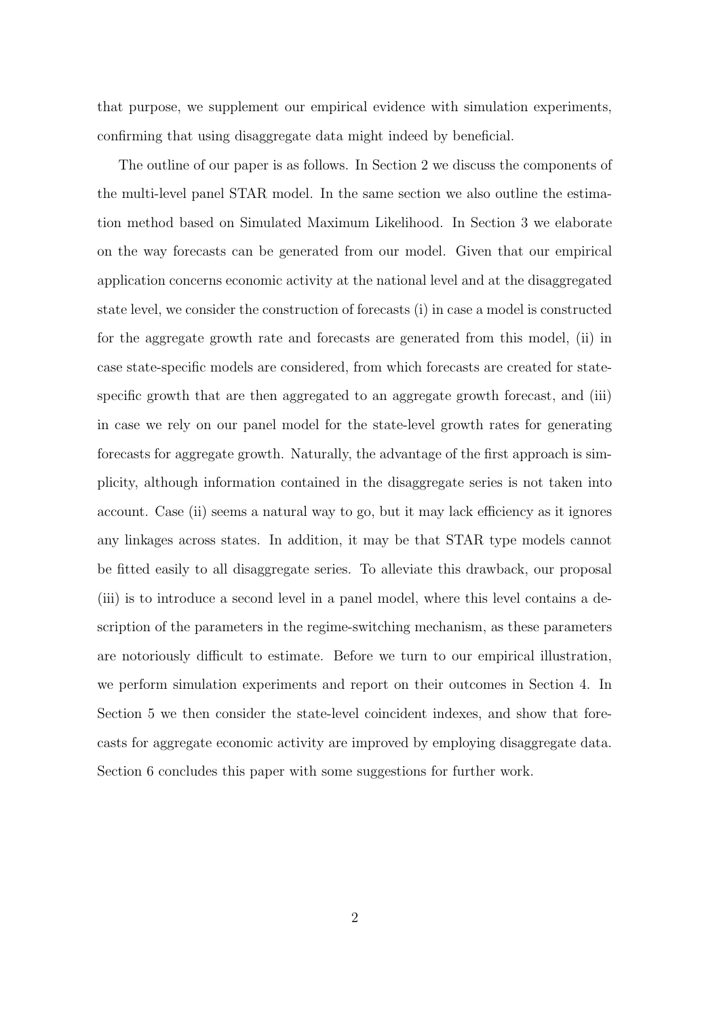that purpose, we supplement our empirical evidence with simulation experiments, confirming that using disaggregate data might indeed by beneficial.

The outline of our paper is as follows. In Section 2 we discuss the components of the multi-level panel STAR model. In the same section we also outline the estimation method based on Simulated Maximum Likelihood. In Section 3 we elaborate on the way forecasts can be generated from our model. Given that our empirical application concerns economic activity at the national level and at the disaggregated state level, we consider the construction of forecasts (i) in case a model is constructed for the aggregate growth rate and forecasts are generated from this model, (ii) in case state-specific models are considered, from which forecasts are created for statespecific growth that are then aggregated to an aggregate growth forecast, and (iii) in case we rely on our panel model for the state-level growth rates for generating forecasts for aggregate growth. Naturally, the advantage of the first approach is simplicity, although information contained in the disaggregate series is not taken into account. Case (ii) seems a natural way to go, but it may lack efficiency as it ignores any linkages across states. In addition, it may be that STAR type models cannot be fitted easily to all disaggregate series. To alleviate this drawback, our proposal (iii) is to introduce a second level in a panel model, where this level contains a description of the parameters in the regime-switching mechanism, as these parameters are notoriously difficult to estimate. Before we turn to our empirical illustration, we perform simulation experiments and report on their outcomes in Section 4. In Section 5 we then consider the state-level coincident indexes, and show that forecasts for aggregate economic activity are improved by employing disaggregate data. Section 6 concludes this paper with some suggestions for further work.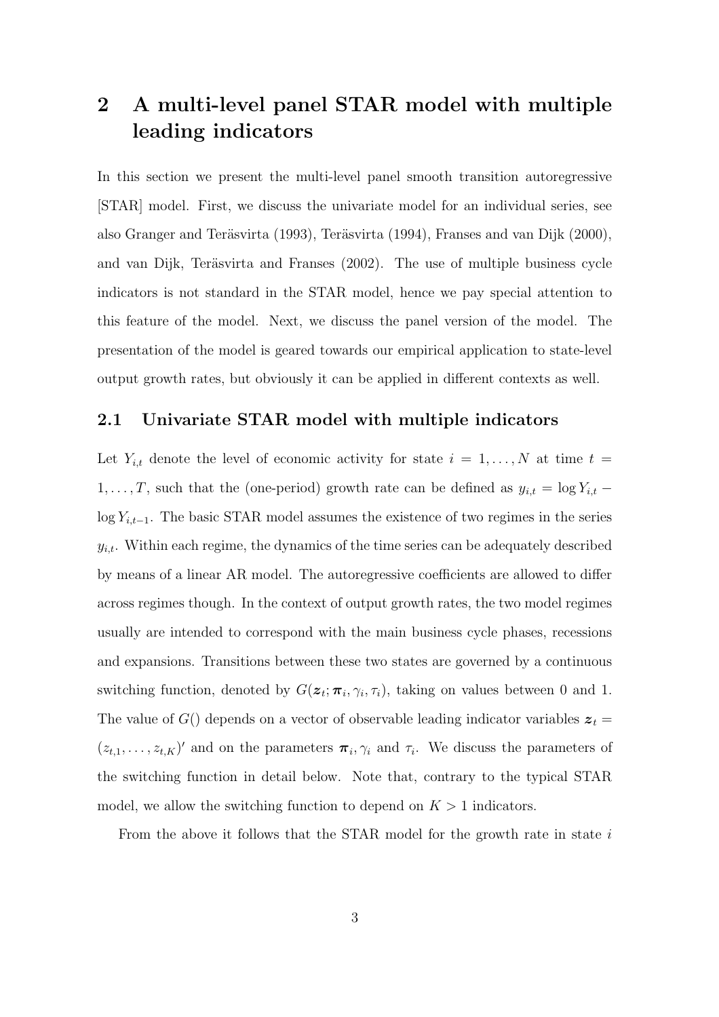# 2 A multi-level panel STAR model with multiple leading indicators

In this section we present the multi-level panel smooth transition autoregressive [STAR] model. First, we discuss the univariate model for an individual series, see also Granger and Teräsvirta (1993), Teräsvirta (1994), Franses and van Dijk (2000), and van Dijk, Teräsvirta and Franses  $(2002)$ . The use of multiple business cycle indicators is not standard in the STAR model, hence we pay special attention to this feature of the model. Next, we discuss the panel version of the model. The presentation of the model is geared towards our empirical application to state-level output growth rates, but obviously it can be applied in different contexts as well.

### 2.1 Univariate STAR model with multiple indicators

Let  $Y_{i,t}$  denote the level of economic activity for state  $i = 1, \ldots, N$  at time  $t =$  $1, \ldots, T$ , such that the (one-period) growth rate can be defined as  $y_{i,t} = \log Y_{i,t}$  – log  $Y_{i,t-1}$ . The basic STAR model assumes the existence of two regimes in the series  $y_{i,t}$ . Within each regime, the dynamics of the time series can be adequately described by means of a linear AR model. The autoregressive coefficients are allowed to differ across regimes though. In the context of output growth rates, the two model regimes usually are intended to correspond with the main business cycle phases, recessions and expansions. Transitions between these two states are governed by a continuous switching function, denoted by  $G(\mathbf{z}_t; \boldsymbol{\pi}_i, \gamma_i, \tau_i)$ , taking on values between 0 and 1. The value of  $G()$  depends on a vector of observable leading indicator variables  $z_t =$  $(z_{t,1},\ldots,z_{t,K})'$  and on the parameters  $\pi_i,\gamma_i$  and  $\tau_i$ . We discuss the parameters of the switching function in detail below. Note that, contrary to the typical STAR model, we allow the switching function to depend on  $K > 1$  indicators.

From the above it follows that the STAR model for the growth rate in state  $i$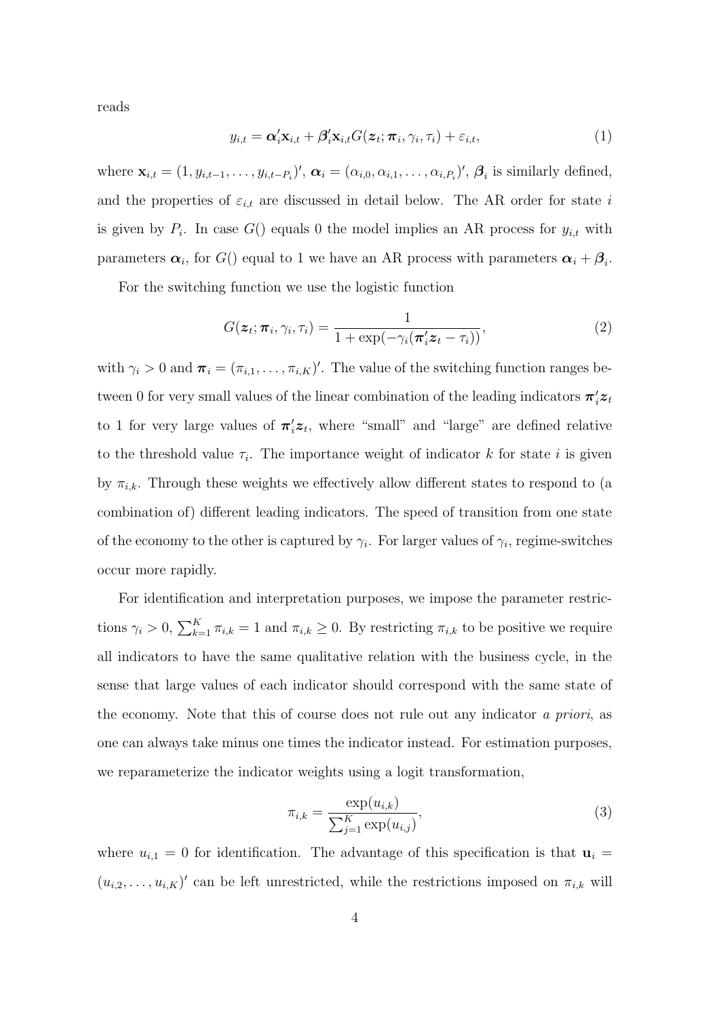reads

$$
y_{i,t} = \alpha'_i \mathbf{x}_{i,t} + \beta'_i \mathbf{x}_{i,t} G(\mathbf{z}_t; \boldsymbol{\pi}_i, \gamma_i, \tau_i) + \varepsilon_{i,t},
$$
\n(1)

where  $\mathbf{x}_{i,t} = (1, y_{i,t-1}, \dots, y_{i,t-P_i})'$ ,  $\boldsymbol{\alpha}_i = (\alpha_{i,0}, \alpha_{i,1}, \dots, \alpha_{i,P_i})'$ ,  $\boldsymbol{\beta}_i$  is similarly defined, and the properties of  $\varepsilon_{i,t}$  are discussed in detail below. The AR order for state i is given by  $P_i$ . In case  $G()$  equals 0 the model implies an AR process for  $y_{i,t}$  with parameters  $\alpha_i$ , for  $G()$  equal to 1 we have an AR process with parameters  $\alpha_i + \beta_i$ .

For the switching function we use the logistic function

$$
G(\boldsymbol{z}_t; \boldsymbol{\pi}_i, \gamma_i, \tau_i) = \frac{1}{1 + \exp(-\gamma_i(\boldsymbol{\pi}_i' \boldsymbol{z}_t - \tau_i))},
$$
\n(2)

with  $\gamma_i > 0$  and  $\boldsymbol{\pi}_i = (\pi_{i,1}, \dots, \pi_{i,K})'$ . The value of the switching function ranges between 0 for very small values of the linear combination of the leading indicators  $\pi'_i z_t$ to 1 for very large values of  $\pi_i' z_t$ , where "small" and "large" are defined relative to the threshold value  $\tau_i$ . The importance weight of indicator k for state i is given by  $\pi_{i,k}$ . Through these weights we effectively allow different states to respond to (a combination of) different leading indicators. The speed of transition from one state of the economy to the other is captured by  $\gamma_i$ . For larger values of  $\gamma_i$ , regime-switches occur more rapidly.

For identification and interpretation purposes, we impose the parameter restrictions  $\gamma_i > 0$ ,  $\sum_{k=1}^K \pi_{i,k} = 1$  and  $\pi_{i,k} \ge 0$ . By restricting  $\pi_{i,k}$  to be positive we require all indicators to have the same qualitative relation with the business cycle, in the sense that large values of each indicator should correspond with the same state of the economy. Note that this of course does not rule out any indicator a priori, as one can always take minus one times the indicator instead. For estimation purposes, we reparameterize the indicator weights using a logit transformation,

$$
\pi_{i,k} = \frac{\exp(u_{i,k})}{\sum_{j=1}^{K} \exp(u_{i,j})},
$$
\n(3)

where  $u_{i,1} = 0$  for identification. The advantage of this specification is that  $\mathbf{u}_i =$  $(u_{i,2},\ldots,u_{i,K})'$  can be left unrestricted, while the restrictions imposed on  $\pi_{i,k}$  will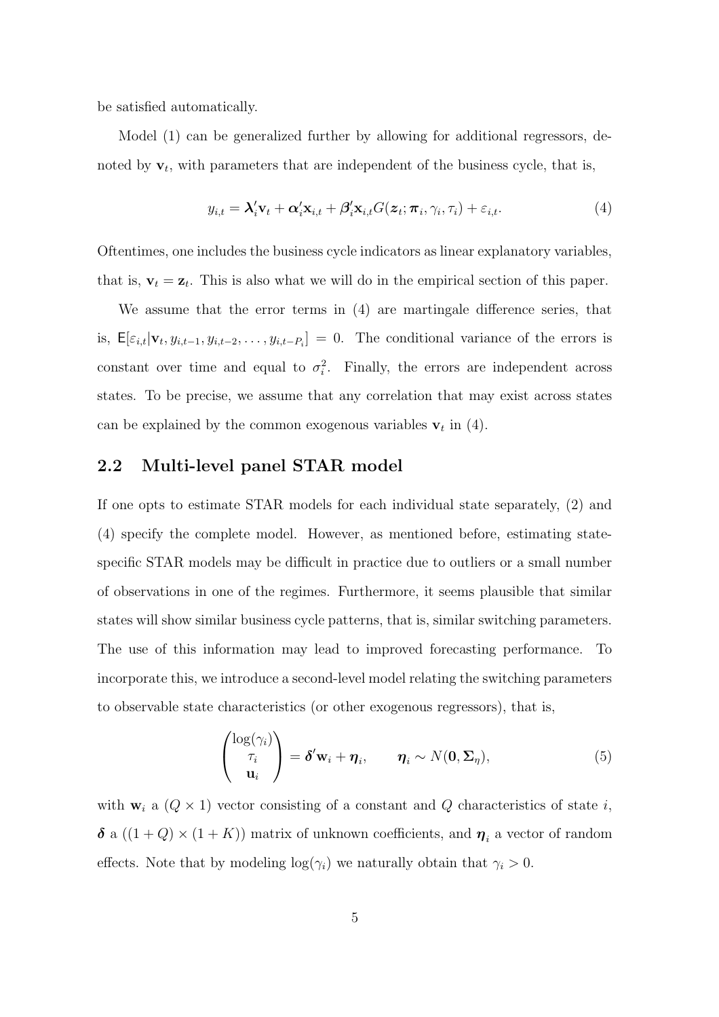be satisfied automatically.

Model (1) can be generalized further by allowing for additional regressors, denoted by  $\mathbf{v}_t$ , with parameters that are independent of the business cycle, that is,

$$
y_{i,t} = \lambda_i' \mathbf{v}_t + \alpha_i' \mathbf{x}_{i,t} + \beta_i' \mathbf{x}_{i,t} G(\mathbf{z}_t; \boldsymbol{\pi}_i, \gamma_i, \tau_i) + \varepsilon_{i,t}.
$$
\n
$$
\tag{4}
$$

Oftentimes, one includes the business cycle indicators as linear explanatory variables, that is,  $\mathbf{v}_t = \mathbf{z}_t$ . This is also what we will do in the empirical section of this paper.

We assume that the error terms in (4) are martingale difference series, that is,  $\mathsf{E}[\varepsilon_{i,t}|\mathbf{v}_t, y_{i,t-1}, y_{i,t-2}, \dots, y_{i,t-P_i}] = 0$ . The conditional variance of the errors is constant over time and equal to  $\sigma_i^2$ . Finally, the errors are independent across states. To be precise, we assume that any correlation that may exist across states can be explained by the common exogenous variables  $v_t$  in (4).

### 2.2 Multi-level panel STAR model

If one opts to estimate STAR models for each individual state separately, (2) and (4) specify the complete model. However, as mentioned before, estimating statespecific STAR models may be difficult in practice due to outliers or a small number of observations in one of the regimes. Furthermore, it seems plausible that similar states will show similar business cycle patterns, that is, similar switching parameters. The use of this information may lead to improved forecasting performance. To incorporate this, we introduce a second-level model relating the switching parameters to observable state characteristics (or other exogenous regressors), that is,

$$
\begin{pmatrix}\n\log(\gamma_i) \\
\tau_i \\
\mathbf{u}_i\n\end{pmatrix} = \boldsymbol{\delta}' \mathbf{w}_i + \boldsymbol{\eta}_i, \qquad \boldsymbol{\eta}_i \sim N(\mathbf{0}, \boldsymbol{\Sigma}_{\boldsymbol{\eta}}),
$$
\n(5)

with  $\mathbf{w}_i$  a  $(Q \times 1)$  vector consisting of a constant and  $Q$  characteristics of state i,  $\delta$  a  $((1+Q) \times (1+K))$  matrix of unknown coefficients, and  $\eta_i$  a vector of random effects. Note that by modeling  $log(\gamma_i)$  we naturally obtain that  $\gamma_i > 0$ .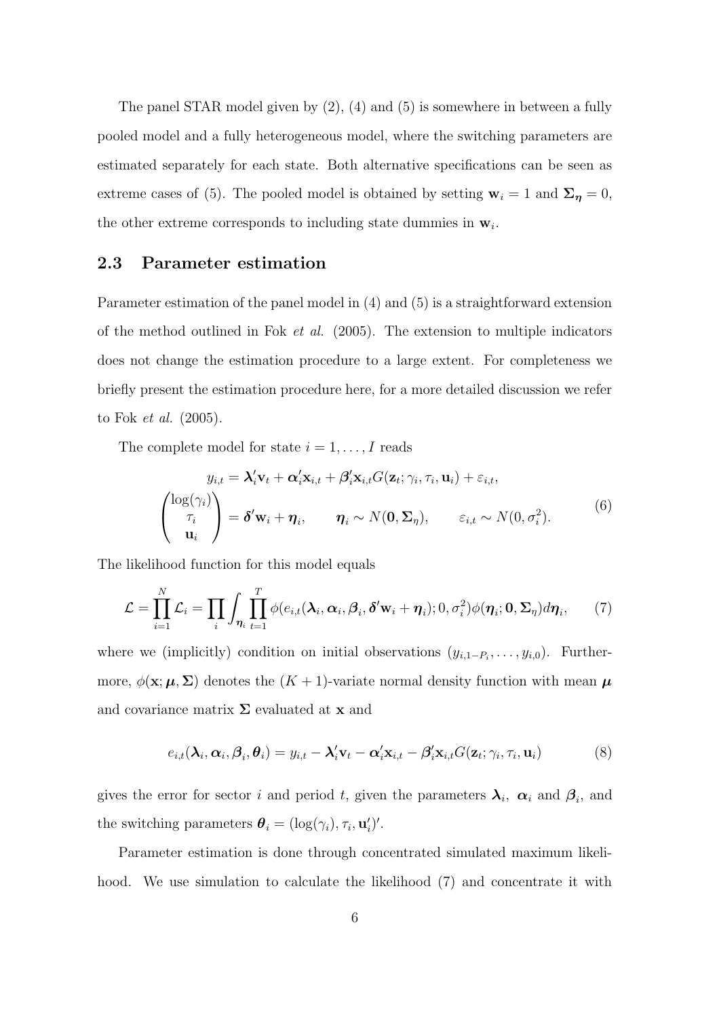The panel STAR model given by  $(2)$ ,  $(4)$  and  $(5)$  is somewhere in between a fully pooled model and a fully heterogeneous model, where the switching parameters are estimated separately for each state. Both alternative specifications can be seen as extreme cases of (5). The pooled model is obtained by setting  $\mathbf{w}_i = 1$  and  $\mathbf{\Sigma}_{\eta} = 0$ , the other extreme corresponds to including state dummies in  $\mathbf{w}_i$ .

### 2.3 Parameter estimation

Parameter estimation of the panel model in (4) and (5) is a straightforward extension of the method outlined in Fok et al. (2005). The extension to multiple indicators does not change the estimation procedure to a large extent. For completeness we briefly present the estimation procedure here, for a more detailed discussion we refer to Fok et al. (2005).

The complete model for state  $i = 1, \ldots, I$  reads

$$
y_{i,t} = \lambda'_i \mathbf{v}_t + \alpha'_i \mathbf{x}_{i,t} + \beta'_i \mathbf{x}_{i,t} G(\mathbf{z}_t; \gamma_i, \tau_i, \mathbf{u}_i) + \varepsilon_{i,t},
$$
  

$$
\begin{pmatrix} \log(\gamma_i) \\ \tau_i \\ \mathbf{u}_i \end{pmatrix} = \delta' \mathbf{w}_i + \boldsymbol{\eta}_i, \qquad \boldsymbol{\eta}_i \sim N(\mathbf{0}, \boldsymbol{\Sigma}_{\eta}), \qquad \varepsilon_{i,t} \sim N(\mathbf{0}, \sigma_i^2).
$$
 (6)

The likelihood function for this model equals

$$
\mathcal{L} = \prod_{i=1}^{N} \mathcal{L}_i = \prod_i \int_{\eta_i} \prod_{t=1}^{T} \phi(e_{i,t}(\lambda_i, \alpha_i, \beta_i, \delta' \mathbf{w}_i + \eta_i); 0, \sigma_i^2) \phi(\eta_i; \mathbf{0}, \Sigma_{\eta}) d\eta_i, \tag{7}
$$

where we (implicitly) condition on initial observations  $(y_{i,1-P_i},\ldots,y_{i,0})$ . Furthermore,  $\phi(\mathbf{x}; \boldsymbol{\mu}, \boldsymbol{\Sigma})$  denotes the  $(K + 1)$ -variate normal density function with mean  $\boldsymbol{\mu}$ and covariance matrix  $\Sigma$  evaluated at **x** and

$$
e_{i,t}(\lambda_i, \alpha_i, \beta_i, \theta_i) = y_{i,t} - \lambda'_i \mathbf{v}_t - \alpha'_i \mathbf{x}_{i,t} - \beta'_i \mathbf{x}_{i,t} G(\mathbf{z}_t; \gamma_i, \tau_i, \mathbf{u}_i)
$$
(8)

gives the error for sector i and period t, given the parameters  $\lambda_i$ ,  $\alpha_i$  and  $\beta_i$ , and the switching parameters  $\boldsymbol{\theta}_i = (\log(\gamma_i), \tau_i, \mathbf{u}_i')'.$ 

Parameter estimation is done through concentrated simulated maximum likelihood. We use simulation to calculate the likelihood (7) and concentrate it with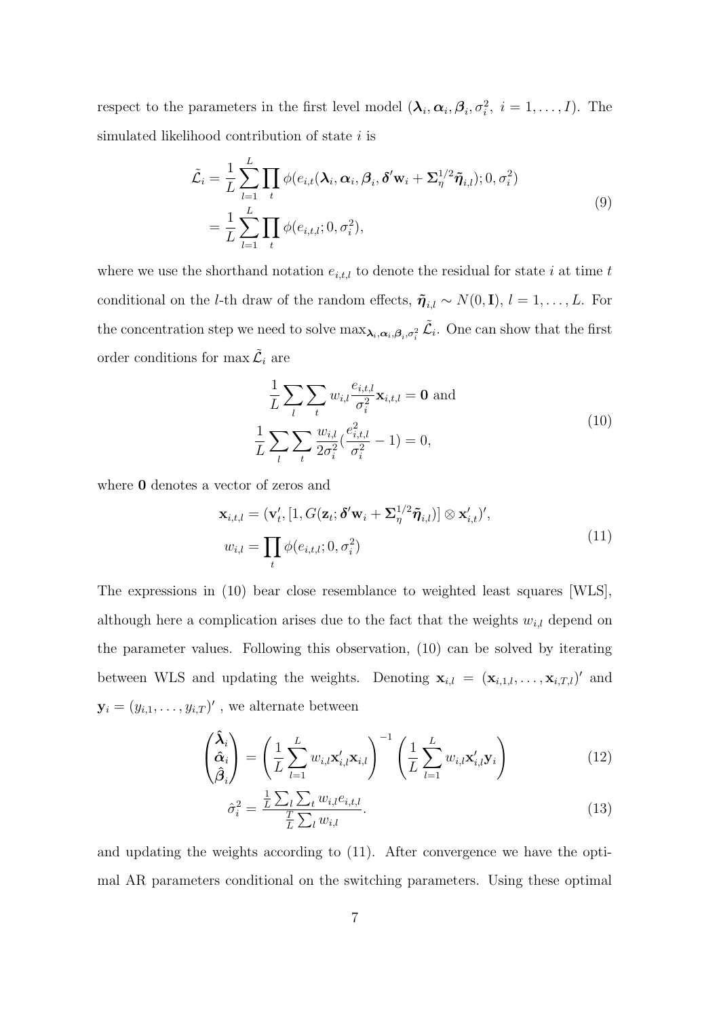respect to the parameters in the first level model  $(\lambda_i, \alpha_i, \beta_i, \sigma_i^2, i = 1, \ldots, I)$ . The simulated likelihood contribution of state  $i$  is

$$
\tilde{\mathcal{L}}_i = \frac{1}{L} \sum_{l=1}^L \prod_t \phi(e_{i,t}(\lambda_i, \alpha_i, \beta_i, \delta' \mathbf{w}_i + \Sigma_\eta^{1/2} \tilde{\pmb{\eta}}_{i,l}); 0, \sigma_i^2)
$$
\n
$$
= \frac{1}{L} \sum_{l=1}^L \prod_t \phi(e_{i,t,l}; 0, \sigma_i^2),
$$
\n(9)

where we use the shorthand notation  $e_{i,t,l}$  to denote the residual for state i at time t conditional on the *l*-th draw of the random effects,  $\tilde{\pmb{\eta}}_{i,l} \sim N(0, \mathbf{I}), l = 1, ..., L$ . For the concentration step we need to solve  $\max_{\lambda_i,\alpha_i,\beta_i,\sigma_i^2} \tilde{\mathcal{L}}_i$ . One can show that the first order conditions for max  $\tilde{\mathcal{L}}_i$  are

$$
\frac{1}{L} \sum_{l} \sum_{t} w_{i,l} \frac{e_{i,t,l}}{\sigma_i^2} \mathbf{x}_{i,t,l} = \mathbf{0} \text{ and}
$$
\n
$$
\frac{1}{L} \sum_{l} \sum_{t} \frac{w_{i,l}}{2\sigma_i^2} (\frac{e_{i,t,l}^2}{\sigma_i^2} - 1) = 0,
$$
\n(10)

where  $\boldsymbol{0}$  denotes a vector of zeros and

$$
\mathbf{x}_{i,t,l} = (\mathbf{v}'_t, [1, G(\mathbf{z}_t; \boldsymbol{\delta}' \mathbf{w}_i + \Sigma_{\eta}^{1/2} \tilde{\boldsymbol{\eta}}_{i,l})] \otimes \mathbf{x}'_{i,t})',
$$
  

$$
w_{i,l} = \prod_t \phi(e_{i,t,l}; 0, \sigma_i^2)
$$
 (11)

The expressions in (10) bear close resemblance to weighted least squares [WLS], although here a complication arises due to the fact that the weights  $w_{i,l}$  depend on the parameter values. Following this observation, (10) can be solved by iterating between WLS and updating the weights. Denoting  $\mathbf{x}_{i,l} = (\mathbf{x}_{i,1,l}, \ldots, \mathbf{x}_{i,T,l})'$  and  $\mathbf{y}_i = (y_{i,1}, \dots, y_{i,T})'$ , we alternate between

$$
\begin{pmatrix} \hat{\boldsymbol{\lambda}}_i \\ \hat{\boldsymbol{\alpha}}_i \\ \hat{\boldsymbol{\beta}}_i \end{pmatrix} = \left( \frac{1}{L} \sum_{l=1}^L w_{i,l} \mathbf{x}'_{i,l} \mathbf{x}_{i,l} \right)^{-1} \left( \frac{1}{L} \sum_{l=1}^L w_{i,l} \mathbf{x}'_{i,l} \mathbf{y}_i \right)
$$
(12)

$$
\hat{\sigma}_i^2 = \frac{\frac{1}{L} \sum_l \sum_t w_{i,l} e_{i,t,l}}{\frac{T}{L} \sum_l w_{i,l}}.
$$
\n(13)

and updating the weights according to (11). After convergence we have the optimal AR parameters conditional on the switching parameters. Using these optimal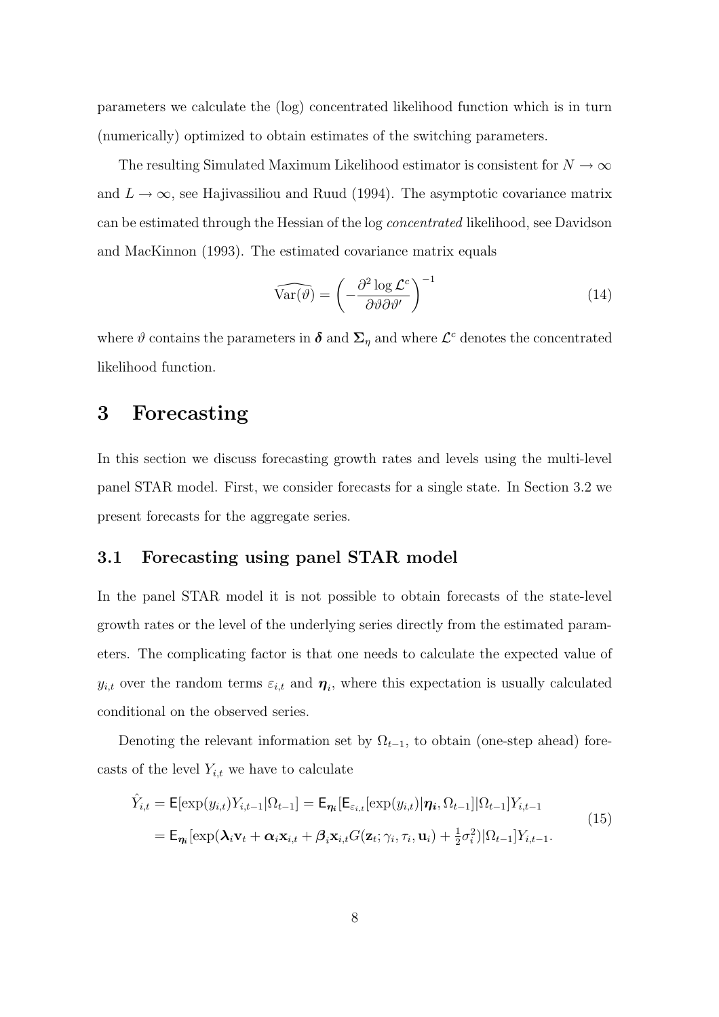parameters we calculate the (log) concentrated likelihood function which is in turn (numerically) optimized to obtain estimates of the switching parameters.

The resulting Simulated Maximum Likelihood estimator is consistent for  $N \to \infty$ and  $L \to \infty$ , see Hajivassiliou and Ruud (1994). The asymptotic covariance matrix can be estimated through the Hessian of the log concentrated likelihood, see Davidson and MacKinnon (1993). The estimated covariance matrix equals

$$
\widehat{\text{Var}(\vartheta)} = \left(-\frac{\partial^2 \log \mathcal{L}^c}{\partial \vartheta \partial \vartheta'}\right)^{-1} \tag{14}
$$

where  $\vartheta$  contains the parameters in  $\boldsymbol{\delta}$  and  $\boldsymbol{\Sigma}_{\eta}$  and where  $\mathcal{L}^c$  denotes the concentrated likelihood function.

## 3 Forecasting

In this section we discuss forecasting growth rates and levels using the multi-level panel STAR model. First, we consider forecasts for a single state. In Section 3.2 we present forecasts for the aggregate series.

### 3.1 Forecasting using panel STAR model

In the panel STAR model it is not possible to obtain forecasts of the state-level growth rates or the level of the underlying series directly from the estimated parameters. The complicating factor is that one needs to calculate the expected value of  $y_{i,t}$  over the random terms  $\varepsilon_{i,t}$  and  $\boldsymbol{\eta}_i$ , where this expectation is usually calculated conditional on the observed series.

Denoting the relevant information set by  $\Omega_{t-1}$ , to obtain (one-step ahead) forecasts of the level  $Y_{i,t}$  we have to calculate

$$
\hat{Y}_{i,t} = \mathsf{E}[\exp(y_{i,t})Y_{i,t-1}|\Omega_{t-1}] = \mathsf{E}_{\eta_i}[\mathsf{E}_{\varepsilon_{i,t}}[\exp(y_{i,t})|\eta_i,\Omega_{t-1}]|\Omega_{t-1}]Y_{i,t-1}
$$
\n
$$
= \mathsf{E}_{\eta_i}[\exp(\lambda_i \mathbf{v}_t + \alpha_i \mathbf{x}_{i,t} + \beta_i \mathbf{x}_{i,t} G(\mathbf{z}_t; \gamma_i, \tau_i, \mathbf{u}_i) + \frac{1}{2}\sigma_i^2)|\Omega_{t-1}|Y_{i,t-1}.
$$
\n(15)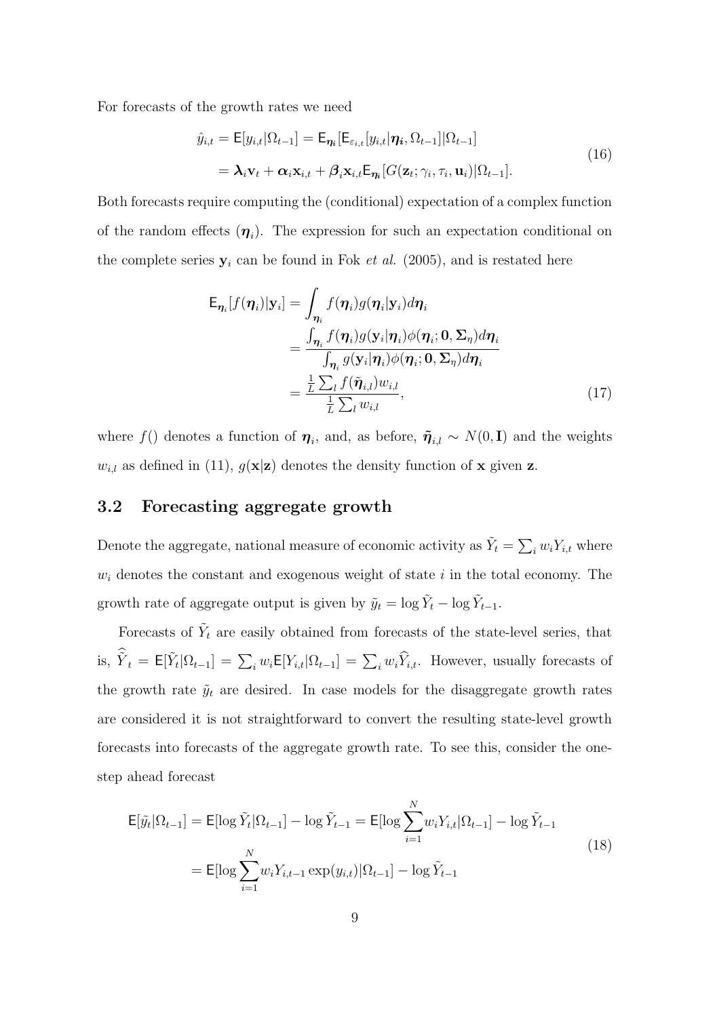For forecasts of the growth rates we need

$$
\hat{y}_{i,t} = \mathsf{E}[y_{i,t}|\Omega_{t-1}] = \mathsf{E}_{\eta_i}[\mathsf{E}_{\varepsilon_{i,t}}[y_{i,t}|\eta_i, \Omega_{t-1}]|\Omega_{t-1}]
$$
\n
$$
= \lambda_i \mathbf{v}_t + \alpha_i \mathbf{x}_{i,t} + \beta_i \mathbf{x}_{i,t} \mathsf{E}_{\eta_i} [G(\mathbf{z}_t; \gamma_i, \tau_i, \mathbf{u}_i)|\Omega_{t-1}].
$$
\n(16)

Both forecasts require computing the (conditional) expectation of a complex function of the random effects  $(\eta_i)$ . The expression for such an expectation conditional on the complete series  $y_i$  can be found in Fok *et al.* (2005), and is restated here

$$
\mathsf{E}_{\boldsymbol{\eta}_i}[f(\boldsymbol{\eta}_i)|\mathbf{y}_i] = \int_{\boldsymbol{\eta}_i} f(\boldsymbol{\eta}_i)g(\boldsymbol{\eta}_i|\mathbf{y}_i)d\boldsymbol{\eta}_i
$$
\n
$$
= \frac{\int_{\boldsymbol{\eta}_i} f(\boldsymbol{\eta}_i)g(\mathbf{y}_i|\boldsymbol{\eta}_i)\phi(\boldsymbol{\eta}_i;\mathbf{0},\boldsymbol{\Sigma}_{\boldsymbol{\eta}})d\boldsymbol{\eta}_i}{\int_{\boldsymbol{\eta}_i} g(\mathbf{y}_i|\boldsymbol{\eta}_i)\phi(\boldsymbol{\eta}_i;\mathbf{0},\boldsymbol{\Sigma}_{\boldsymbol{\eta}})d\boldsymbol{\eta}_i}
$$
\n
$$
= \frac{\frac{1}{L}\sum_{l} f(\tilde{\boldsymbol{\eta}}_{i,l})w_{i,l}}{\frac{1}{L}\sum_{l} w_{i,l}},
$$
\n(17)

where f() denotes a function of  $\eta_i$ , and, as before,  $\tilde{\eta}_{i,l} \sim N(0,\mathbf{I})$  and the weights  $w_{i,l}$  as defined in (11),  $g(\mathbf{x}|\mathbf{z})$  denotes the density function of **x** given **z**.

#### 3.2 Forecasting aggregate growth

Denote the aggregate, national measure of economic activity as  $\tilde{Y}_t = \sum_i w_i Y_{i,t}$  where  $w<sub>i</sub>$  denotes the constant and exogenous weight of state i in the total economy. The growth rate of aggregate output is given by  $\tilde{y}_t = \log \tilde{Y}_t - \log \tilde{Y}_{t-1}$ .

Forecasts of  $\tilde{Y}_t$  are easily obtained from forecasts of the state-level series, that is,  $\tilde{Y}_t = \mathsf{E}[\tilde{Y}_t | \Omega_{t-1}] = \sum_i w_i \mathsf{E}[Y_{i,t} | \Omega_{t-1}] = \sum_i w_i \hat{Y}_{i,t}$ . However, usually forecasts of the growth rate  $\tilde{y}_t$  are desired. In case models for the disaggregate growth rates are considered it is not straightforward to convert the resulting state-level growth forecasts into forecasts of the aggregate growth rate. To see this, consider the onestep ahead forecast

$$
\mathsf{E}[\tilde{y}_t|\Omega_{t-1}] = \mathsf{E}[\log \tilde{Y}_t|\Omega_{t-1}] - \log \tilde{Y}_{t-1} = \mathsf{E}[\log \sum_{i=1}^N w_i Y_{i,t}|\Omega_{t-1}] - \log \tilde{Y}_{t-1}
$$
  
=  $\mathsf{E}[\log \sum_{i=1}^N w_i Y_{i,t-1} \exp(y_{i,t})|\Omega_{t-1}] - \log \tilde{Y}_{t-1}$  (18)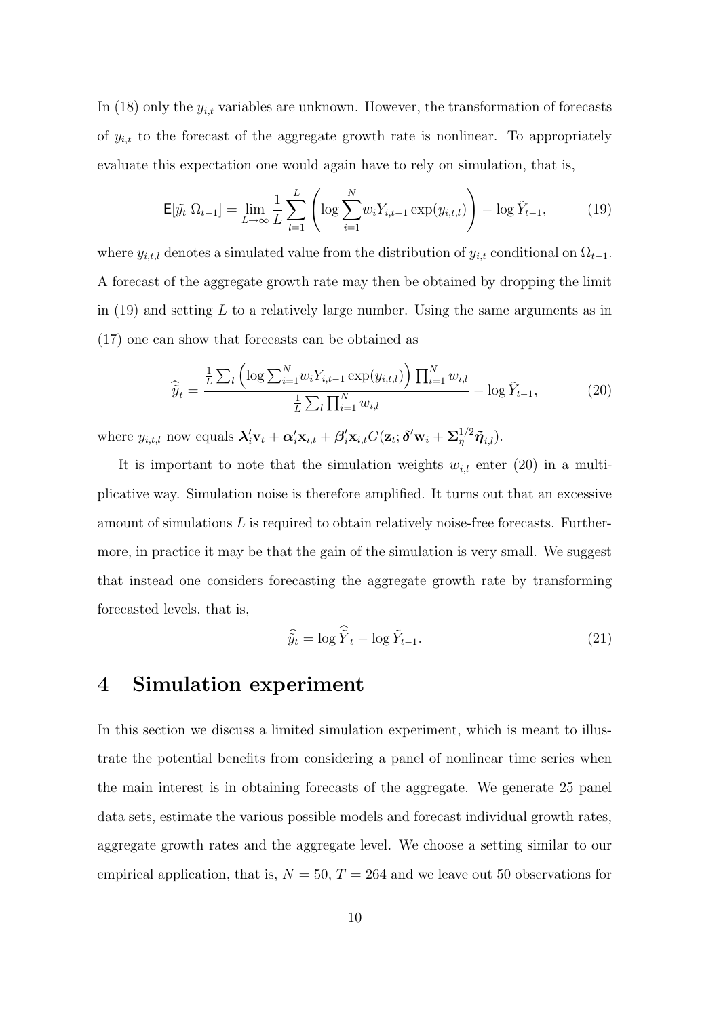In (18) only the  $y_{i,t}$  variables are unknown. However, the transformation of forecasts of  $y_{i,t}$  to the forecast of the aggregate growth rate is nonlinear. To appropriately evaluate this expectation one would again have to rely on simulation, that is,

$$
\mathsf{E}[\tilde{y}_t | \Omega_{t-1}] = \lim_{L \to \infty} \frac{1}{L} \sum_{l=1}^{L} \left( \log \sum_{i=1}^{N} w_i Y_{i,t-1} \exp(y_{i,t,l}) \right) - \log \tilde{Y}_{t-1}, \tag{19}
$$

where  $y_{i,t,l}$  denotes a simulated value from the distribution of  $y_{i,t}$  conditional on  $\Omega_{t-1}$ . A forecast of the aggregate growth rate may then be obtained by dropping the limit in  $(19)$  and setting L to a relatively large number. Using the same arguments as in (17) one can show that forecasts can be obtained as

$$
\widehat{y}_t = \frac{\frac{1}{L} \sum_l \left( \log \sum_{i=1}^N w_i Y_{i,t-1} \exp(y_{i,t,l}) \right) \prod_{i=1}^N w_{i,l}}{\frac{1}{L} \sum_l \prod_{i=1}^N w_{i,l}} - \log \widetilde{Y}_{t-1},
$$
\n(20)

where  $y_{i,t,l}$  now equals  $\mathbf{\lambda}_i' \mathbf{v}_t + \mathbf{\alpha}_i' \mathbf{x}_{i,t} + \mathbf{\beta}_i' \mathbf{x}_{i,t} G(\mathbf{z}_t; \boldsymbol{\delta}' \mathbf{w}_i + \Sigma_{\eta}^{1/2} \tilde{\boldsymbol{\eta}}_{i,l}).$ 

It is important to note that the simulation weights  $w_{i,l}$  enter (20) in a multiplicative way. Simulation noise is therefore amplified. It turns out that an excessive amount of simulations  $L$  is required to obtain relatively noise-free forecasts. Furthermore, in practice it may be that the gain of the simulation is very small. We suggest that instead one considers forecasting the aggregate growth rate by transforming forecasted levels, that is,

$$
\widehat{\tilde{y}_t} = \log \widehat{\tilde{Y}}_t - \log \tilde{Y}_{t-1}.
$$
\n(21)

### 4 Simulation experiment

In this section we discuss a limited simulation experiment, which is meant to illustrate the potential benefits from considering a panel of nonlinear time series when the main interest is in obtaining forecasts of the aggregate. We generate 25 panel data sets, estimate the various possible models and forecast individual growth rates, aggregate growth rates and the aggregate level. We choose a setting similar to our empirical application, that is,  $N = 50$ ,  $T = 264$  and we leave out 50 observations for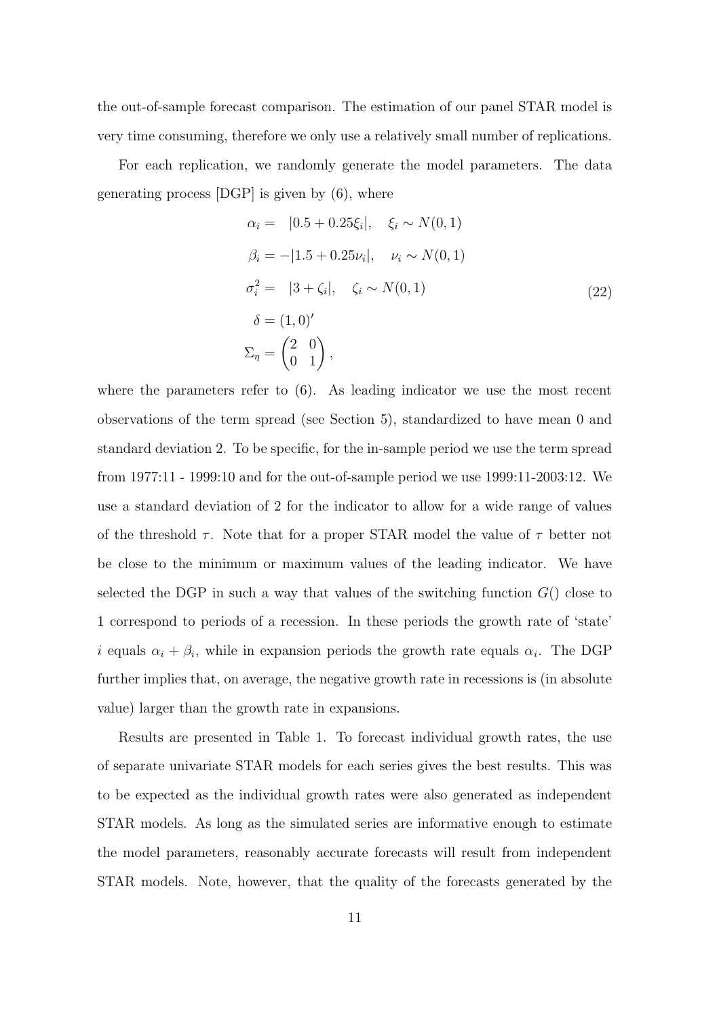the out-of-sample forecast comparison. The estimation of our panel STAR model is very time consuming, therefore we only use a relatively small number of replications.

For each replication, we randomly generate the model parameters. The data generating process  $[{\rm DGP}]$  is given by  $(6)$ , where

$$
\alpha_{i} = |0.5 + 0.25\xi_{i}|, \quad \xi_{i} \sim N(0, 1)
$$
  
\n
$$
\beta_{i} = -|1.5 + 0.25\nu_{i}|, \quad \nu_{i} \sim N(0, 1)
$$
  
\n
$$
\sigma_{i}^{2} = |3 + \zeta_{i}|, \quad \zeta_{i} \sim N(0, 1)
$$
  
\n
$$
\delta = (1, 0)^{'} \tag{22}
$$
  
\n
$$
\Sigma_{\eta} = \begin{pmatrix} 2 & 0 \\ 0 & 1 \end{pmatrix},
$$

where the parameters refer to  $(6)$ . As leading indicator we use the most recent observations of the term spread (see Section 5), standardized to have mean 0 and standard deviation 2. To be specific, for the in-sample period we use the term spread from 1977:11 - 1999:10 and for the out-of-sample period we use 1999:11-2003:12. We use a standard deviation of 2 for the indicator to allow for a wide range of values of the threshold  $\tau$ . Note that for a proper STAR model the value of  $\tau$  better not be close to the minimum or maximum values of the leading indicator. We have selected the DGP in such a way that values of the switching function  $G()$  close to 1 correspond to periods of a recession. In these periods the growth rate of 'state' i equals  $\alpha_i + \beta_i$ , while in expansion periods the growth rate equals  $\alpha_i$ . The DGP further implies that, on average, the negative growth rate in recessions is (in absolute value) larger than the growth rate in expansions.

Results are presented in Table 1. To forecast individual growth rates, the use of separate univariate STAR models for each series gives the best results. This was to be expected as the individual growth rates were also generated as independent STAR models. As long as the simulated series are informative enough to estimate the model parameters, reasonably accurate forecasts will result from independent STAR models. Note, however, that the quality of the forecasts generated by the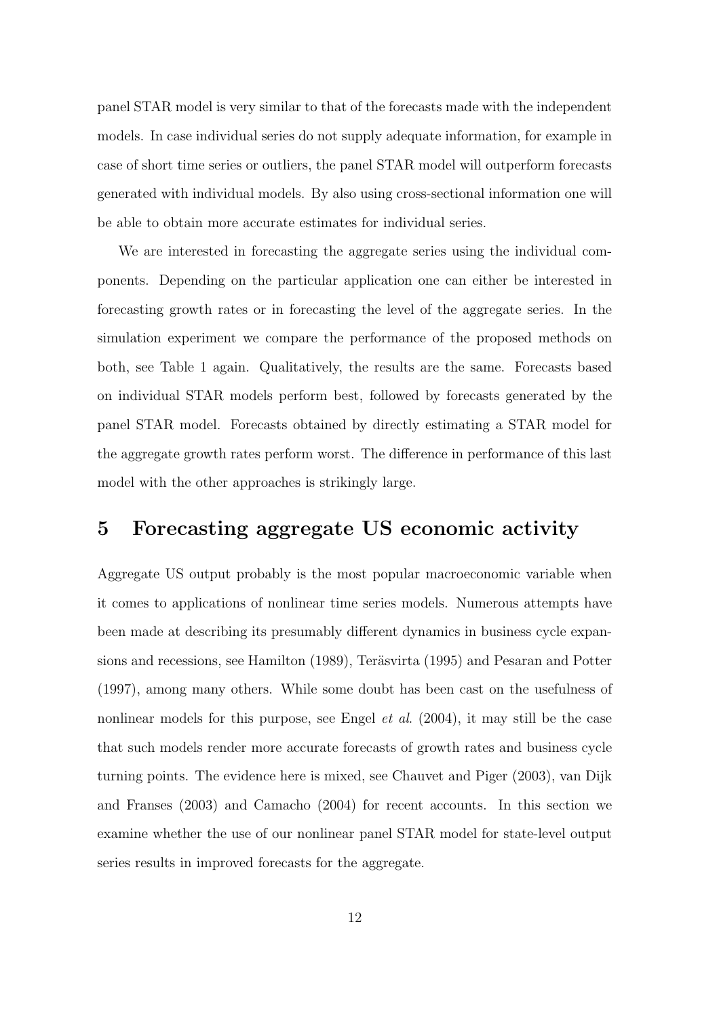panel STAR model is very similar to that of the forecasts made with the independent models. In case individual series do not supply adequate information, for example in case of short time series or outliers, the panel STAR model will outperform forecasts generated with individual models. By also using cross-sectional information one will be able to obtain more accurate estimates for individual series.

We are interested in forecasting the aggregate series using the individual components. Depending on the particular application one can either be interested in forecasting growth rates or in forecasting the level of the aggregate series. In the simulation experiment we compare the performance of the proposed methods on both, see Table 1 again. Qualitatively, the results are the same. Forecasts based on individual STAR models perform best, followed by forecasts generated by the panel STAR model. Forecasts obtained by directly estimating a STAR model for the aggregate growth rates perform worst. The difference in performance of this last model with the other approaches is strikingly large.

# 5 Forecasting aggregate US economic activity

Aggregate US output probably is the most popular macroeconomic variable when it comes to applications of nonlinear time series models. Numerous attempts have been made at describing its presumably different dynamics in business cycle expansions and recessions, see Hamilton (1989), Teräsvirta (1995) and Pesaran and Potter (1997), among many others. While some doubt has been cast on the usefulness of nonlinear models for this purpose, see Engel *et al.* (2004), it may still be the case that such models render more accurate forecasts of growth rates and business cycle turning points. The evidence here is mixed, see Chauvet and Piger (2003), van Dijk and Franses (2003) and Camacho (2004) for recent accounts. In this section we examine whether the use of our nonlinear panel STAR model for state-level output series results in improved forecasts for the aggregate.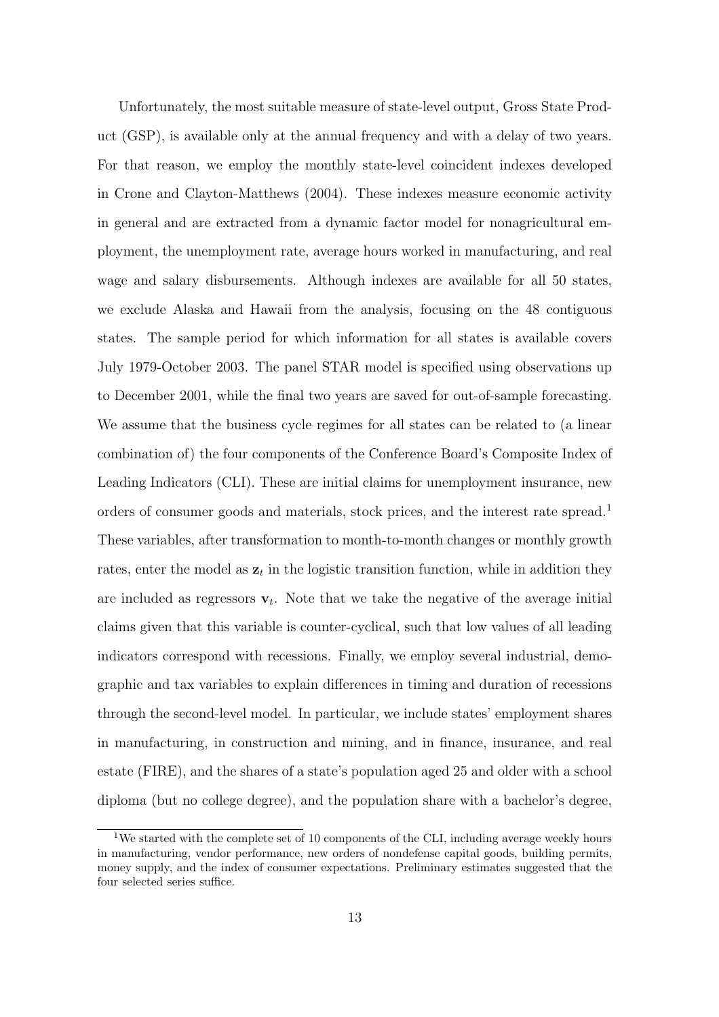Unfortunately, the most suitable measure of state-level output, Gross State Product (GSP), is available only at the annual frequency and with a delay of two years. For that reason, we employ the monthly state-level coincident indexes developed in Crone and Clayton-Matthews (2004). These indexes measure economic activity in general and are extracted from a dynamic factor model for nonagricultural employment, the unemployment rate, average hours worked in manufacturing, and real wage and salary disbursements. Although indexes are available for all 50 states, we exclude Alaska and Hawaii from the analysis, focusing on the 48 contiguous states. The sample period for which information for all states is available covers July 1979-October 2003. The panel STAR model is specified using observations up to December 2001, while the final two years are saved for out-of-sample forecasting. We assume that the business cycle regimes for all states can be related to (a linear combination of) the four components of the Conference Board's Composite Index of Leading Indicators (CLI). These are initial claims for unemployment insurance, new orders of consumer goods and materials, stock prices, and the interest rate spread.<sup>1</sup> These variables, after transformation to month-to-month changes or monthly growth rates, enter the model as  $z_t$  in the logistic transition function, while in addition they are included as regressors  $\mathbf{v}_t$ . Note that we take the negative of the average initial claims given that this variable is counter-cyclical, such that low values of all leading indicators correspond with recessions. Finally, we employ several industrial, demographic and tax variables to explain differences in timing and duration of recessions through the second-level model. In particular, we include states' employment shares in manufacturing, in construction and mining, and in finance, insurance, and real estate (FIRE), and the shares of a state's population aged 25 and older with a school diploma (but no college degree), and the population share with a bachelor's degree,

<sup>&</sup>lt;sup>1</sup>We started with the complete set of 10 components of the CLI, including average weekly hours in manufacturing, vendor performance, new orders of nondefense capital goods, building permits, money supply, and the index of consumer expectations. Preliminary estimates suggested that the four selected series suffice.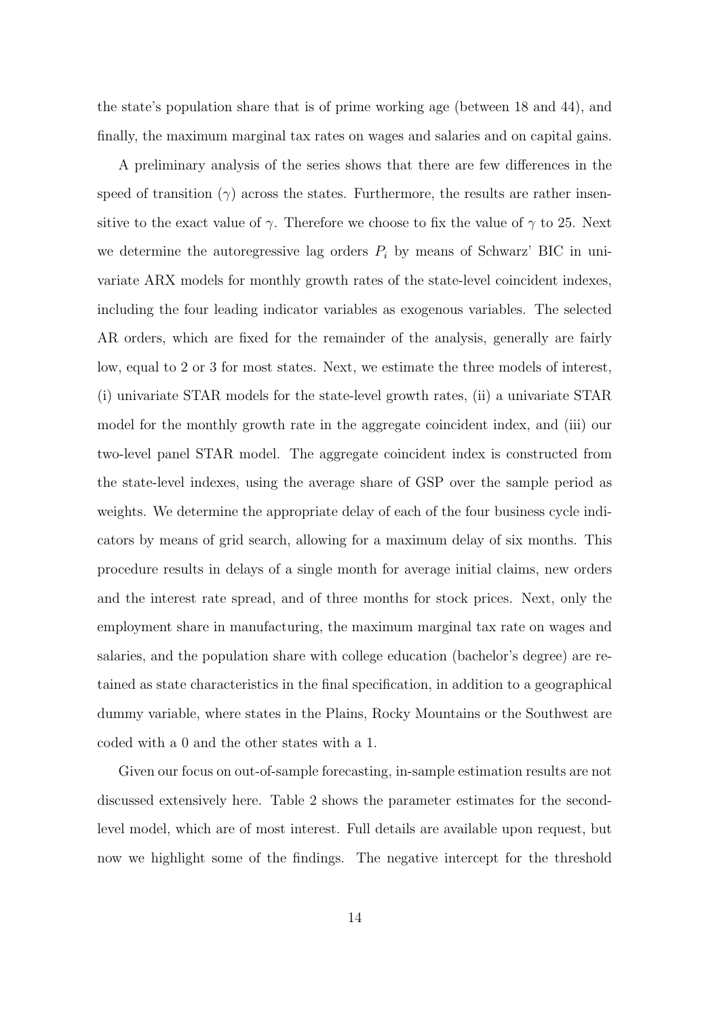the state's population share that is of prime working age (between 18 and 44), and finally, the maximum marginal tax rates on wages and salaries and on capital gains.

A preliminary analysis of the series shows that there are few differences in the speed of transition ( $\gamma$ ) across the states. Furthermore, the results are rather insensitive to the exact value of  $\gamma$ . Therefore we choose to fix the value of  $\gamma$  to 25. Next we determine the autoregressive lag orders  $P_i$  by means of Schwarz' BIC in univariate ARX models for monthly growth rates of the state-level coincident indexes, including the four leading indicator variables as exogenous variables. The selected AR orders, which are fixed for the remainder of the analysis, generally are fairly low, equal to 2 or 3 for most states. Next, we estimate the three models of interest, (i) univariate STAR models for the state-level growth rates, (ii) a univariate STAR model for the monthly growth rate in the aggregate coincident index, and (iii) our two-level panel STAR model. The aggregate coincident index is constructed from the state-level indexes, using the average share of GSP over the sample period as weights. We determine the appropriate delay of each of the four business cycle indicators by means of grid search, allowing for a maximum delay of six months. This procedure results in delays of a single month for average initial claims, new orders and the interest rate spread, and of three months for stock prices. Next, only the employment share in manufacturing, the maximum marginal tax rate on wages and salaries, and the population share with college education (bachelor's degree) are retained as state characteristics in the final specification, in addition to a geographical dummy variable, where states in the Plains, Rocky Mountains or the Southwest are coded with a 0 and the other states with a 1.

Given our focus on out-of-sample forecasting, in-sample estimation results are not discussed extensively here. Table 2 shows the parameter estimates for the secondlevel model, which are of most interest. Full details are available upon request, but now we highlight some of the findings. The negative intercept for the threshold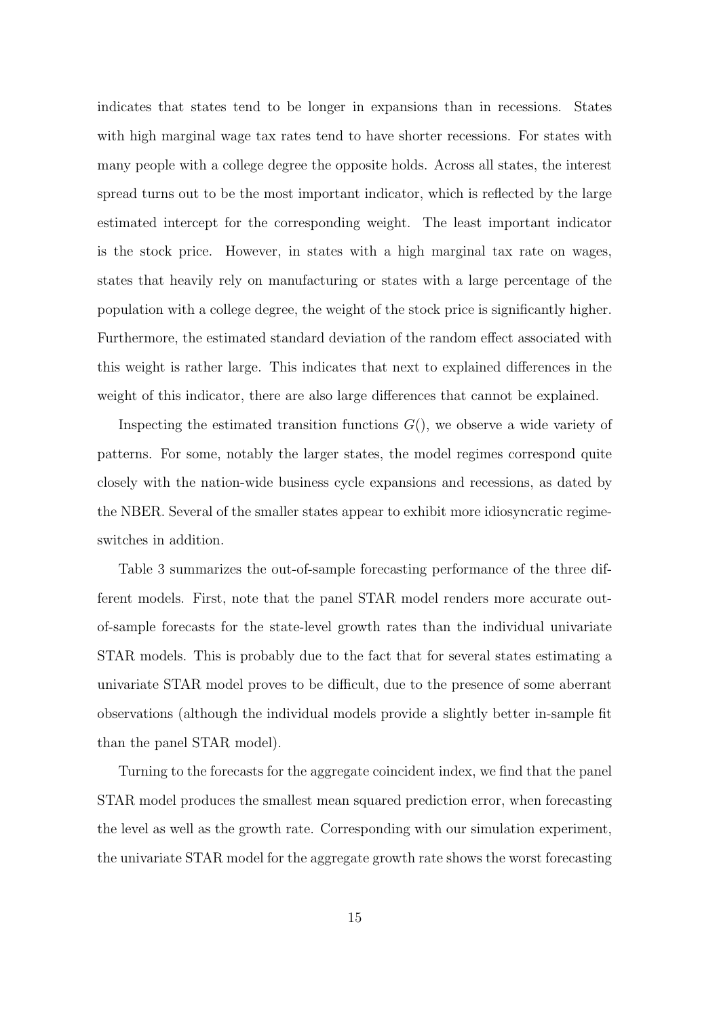indicates that states tend to be longer in expansions than in recessions. States with high marginal wage tax rates tend to have shorter recessions. For states with many people with a college degree the opposite holds. Across all states, the interest spread turns out to be the most important indicator, which is reflected by the large estimated intercept for the corresponding weight. The least important indicator is the stock price. However, in states with a high marginal tax rate on wages, states that heavily rely on manufacturing or states with a large percentage of the population with a college degree, the weight of the stock price is significantly higher. Furthermore, the estimated standard deviation of the random effect associated with this weight is rather large. This indicates that next to explained differences in the weight of this indicator, there are also large differences that cannot be explained.

Inspecting the estimated transition functions  $G()$ , we observe a wide variety of patterns. For some, notably the larger states, the model regimes correspond quite closely with the nation-wide business cycle expansions and recessions, as dated by the NBER. Several of the smaller states appear to exhibit more idiosyncratic regimeswitches in addition.

Table 3 summarizes the out-of-sample forecasting performance of the three different models. First, note that the panel STAR model renders more accurate outof-sample forecasts for the state-level growth rates than the individual univariate STAR models. This is probably due to the fact that for several states estimating a univariate STAR model proves to be difficult, due to the presence of some aberrant observations (although the individual models provide a slightly better in-sample fit than the panel STAR model).

Turning to the forecasts for the aggregate coincident index, we find that the panel STAR model produces the smallest mean squared prediction error, when forecasting the level as well as the growth rate. Corresponding with our simulation experiment, the univariate STAR model for the aggregate growth rate shows the worst forecasting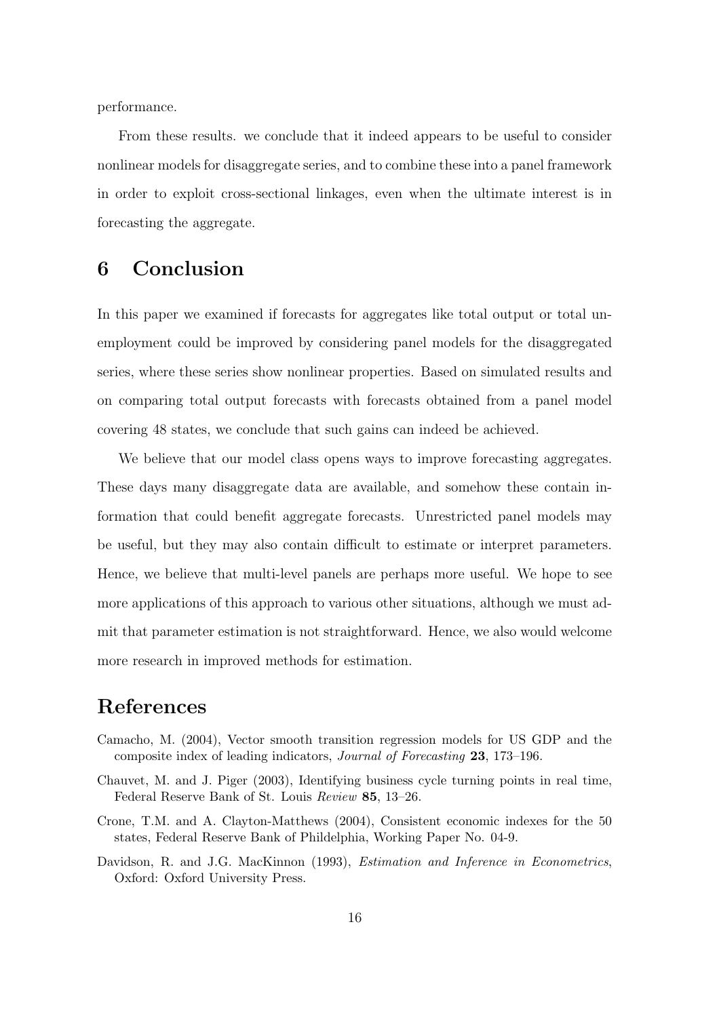performance.

From these results. we conclude that it indeed appears to be useful to consider nonlinear models for disaggregate series, and to combine these into a panel framework in order to exploit cross-sectional linkages, even when the ultimate interest is in forecasting the aggregate.

### 6 Conclusion

In this paper we examined if forecasts for aggregates like total output or total unemployment could be improved by considering panel models for the disaggregated series, where these series show nonlinear properties. Based on simulated results and on comparing total output forecasts with forecasts obtained from a panel model covering 48 states, we conclude that such gains can indeed be achieved.

We believe that our model class opens ways to improve forecasting aggregates. These days many disaggregate data are available, and somehow these contain information that could benefit aggregate forecasts. Unrestricted panel models may be useful, but they may also contain difficult to estimate or interpret parameters. Hence, we believe that multi-level panels are perhaps more useful. We hope to see more applications of this approach to various other situations, although we must admit that parameter estimation is not straightforward. Hence, we also would welcome more research in improved methods for estimation.

## References

- Camacho, M. (2004), Vector smooth transition regression models for US GDP and the composite index of leading indicators, Journal of Forecasting 23, 173–196.
- Chauvet, M. and J. Piger (2003), Identifying business cycle turning points in real time, Federal Reserve Bank of St. Louis Review 85, 13–26.
- Crone, T.M. and A. Clayton-Matthews (2004), Consistent economic indexes for the 50 states, Federal Reserve Bank of Phildelphia, Working Paper No. 04-9.
- Davidson, R. and J.G. MacKinnon (1993), Estimation and Inference in Econometrics, Oxford: Oxford University Press.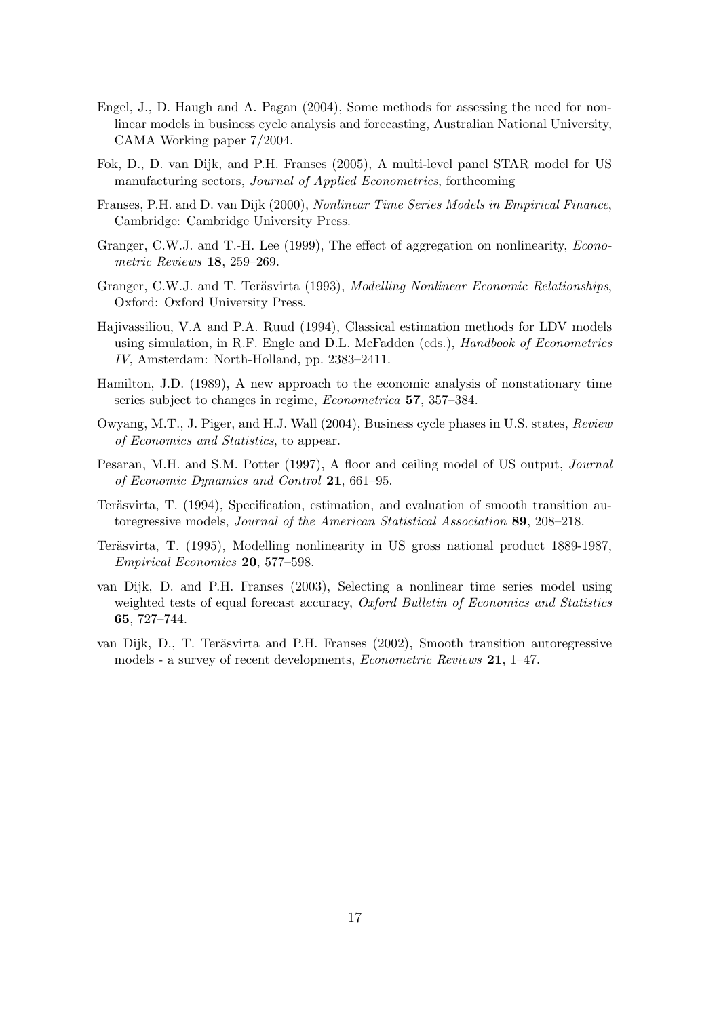- Engel, J., D. Haugh and A. Pagan (2004), Some methods for assessing the need for nonlinear models in business cycle analysis and forecasting, Australian National University, CAMA Working paper 7/2004.
- Fok, D., D. van Dijk, and P.H. Franses (2005), A multi-level panel STAR model for US manufacturing sectors, Journal of Applied Econometrics, forthcoming
- Franses, P.H. and D. van Dijk (2000), Nonlinear Time Series Models in Empirical Finance, Cambridge: Cambridge University Press.
- Granger, C.W.J. and T.-H. Lee (1999), The effect of aggregation on nonlinearity, Econometric Reviews 18, 259–269.
- Granger, C.W.J. and T. Teräsvirta (1993), Modelling Nonlinear Economic Relationships, Oxford: Oxford University Press.
- Hajivassiliou, V.A and P.A. Ruud (1994), Classical estimation methods for LDV models using simulation, in R.F. Engle and D.L. McFadden (eds.), *Handbook of Econometrics* IV, Amsterdam: North-Holland, pp. 2383–2411.
- Hamilton, J.D. (1989), A new approach to the economic analysis of nonstationary time series subject to changes in regime, Econometrica 57, 357–384.
- Owyang, M.T., J. Piger, and H.J. Wall (2004), Business cycle phases in U.S. states, Review of Economics and Statistics, to appear.
- Pesaran, M.H. and S.M. Potter (1997), A floor and ceiling model of US output, Journal of Economic Dynamics and Control 21, 661–95.
- Teräsvirta, T. (1994), Specification, estimation, and evaluation of smooth transition autoregressive models, Journal of the American Statistical Association 89, 208–218.
- Teräsvirta, T. (1995), Modelling nonlinearity in US gross national product 1889-1987, Empirical Economics 20, 577–598.
- van Dijk, D. and P.H. Franses (2003), Selecting a nonlinear time series model using weighted tests of equal forecast accuracy, Oxford Bulletin of Economics and Statistics 65, 727–744.
- van Dijk, D., T. Teräsvirta and P.H. Franses (2002), Smooth transition autoregressive models - a survey of recent developments, Econometric Reviews 21, 1–47.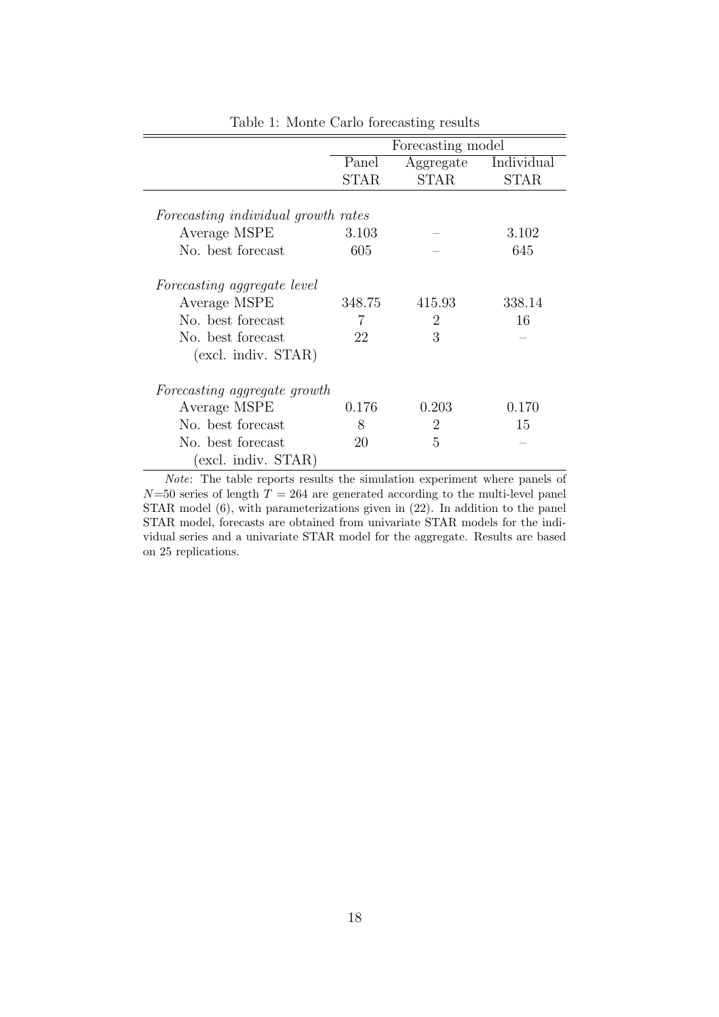|                                     |             | Forecasting model |             |  |  |  |  |
|-------------------------------------|-------------|-------------------|-------------|--|--|--|--|
|                                     | Panel       | Aggregate         | Individual  |  |  |  |  |
|                                     | <b>STAR</b> | <b>STAR</b>       | <b>STAR</b> |  |  |  |  |
|                                     |             |                   |             |  |  |  |  |
| Forecasting individual growth rates |             |                   |             |  |  |  |  |
| Average MSPE                        | 3.103       |                   | 3.102       |  |  |  |  |
| No. best forecast                   | 605         |                   | 645         |  |  |  |  |
| Forecasting aggregate level         |             |                   |             |  |  |  |  |
| Average MSPE                        | 348.75      | 415.93            | 338.14      |  |  |  |  |
| No. best forecast                   | 7           | 2                 | 16          |  |  |  |  |
| No. best forecast                   | 22          | 3                 |             |  |  |  |  |
| $(excl.$ indiv. $STAR)$             |             |                   |             |  |  |  |  |
| Forecasting aggregate growth        |             |                   |             |  |  |  |  |
| Average MSPE                        | 0.176       | 0.203             | 0.170       |  |  |  |  |
| No. best forecast                   | 8           | $\overline{2}$    | 15          |  |  |  |  |
| No. best forecast                   | 20          | 5                 |             |  |  |  |  |
| (excl. indiv. STAR)                 |             |                   |             |  |  |  |  |

Table 1: Monte Carlo forecasting results

Note: The table reports results the simulation experiment where panels of  $N=50$  series of length  $T = 264$  are generated according to the multi-level panel STAR model (6), with parameterizations given in (22). In addition to the panel STAR model, forecasts are obtained from univariate STAR models for the individual series and a univariate STAR model for the aggregate. Results are based on 25 replications.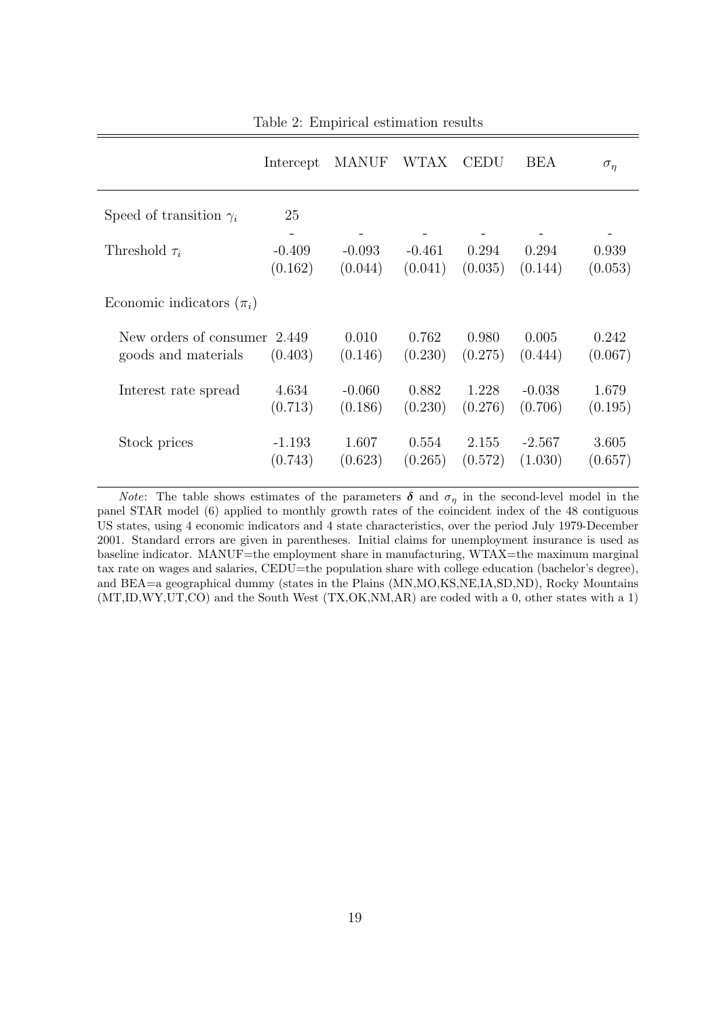|                                | Intercept | <b>MANUF</b> | WTAX .   | <b>CEDU</b> | <b>BEA</b> | $\sigma_{\eta}$ |
|--------------------------------|-----------|--------------|----------|-------------|------------|-----------------|
| Speed of transition $\gamma_i$ | 25        |              |          |             |            |                 |
| Threshold $\tau_i$             | $-0.409$  | $-0.093$     | $-0.461$ | 0.294       | 0.294      | 0.939           |
|                                | (0.162)   | (0.044)      | (0.041)  | (0.035)     | (0.144)    | (0.053)         |
| Economic indicators $(\pi_i)$  |           |              |          |             |            |                 |
| New orders of consumer 2.449   | (0.403)   | 0.010        | 0.762    | 0.980       | 0.005      | 0.242           |
| goods and materials            |           | (0.146)      | (0.230)  | (0.275)     | (0.444)    | (0.067)         |
| Interest rate spread           | 4.634     | $-0.060$     | 0.882    | 1.228       | $-0.038$   | 1.679           |
|                                | (0.713)   | (0.186)      | (0.230)  | (0.276)     | (0.706)    | (0.195)         |
| Stock prices                   | $-1.193$  | 1.607        | 0.554    | 2.155       | $-2.567$   | 3.605           |
|                                | (0.743)   | (0.623)      | (0.265)  | (0.572)     | (1.030)    | (0.657)         |

Table 2: Empirical estimation results

*Note:* The table shows estimates of the parameters  $\delta$  and  $\sigma_{\eta}$  in the second-level model in the panel STAR model (6) applied to monthly growth rates of the coincident index of the 48 contiguous US states, using 4 economic indicators and 4 state characteristics, over the period July 1979-December 2001. Standard errors are given in parentheses. Initial claims for unemployment insurance is used as baseline indicator. MANUF=the employment share in manufacturing, WTAX=the maximum marginal tax rate on wages and salaries, CEDU=the population share with college education (bachelor's degree), and BEA=a geographical dummy (states in the Plains (MN,MO,KS,NE,IA,SD,ND), Rocky Mountains (MT,ID,WY,UT,CO) and the South West (TX,OK,NM,AR) are coded with a 0, other states with a 1)